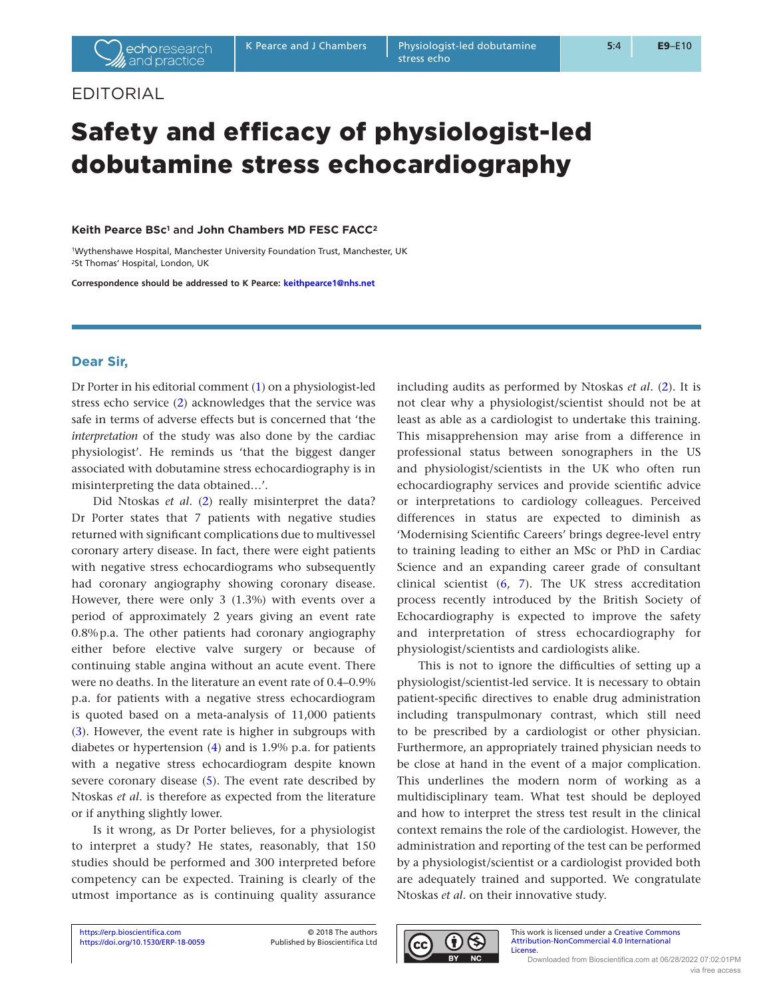# EDITORIAL

# Safety and efficacy of physiologist-led dobutamine stress echocardiography

### **Keith Pearce BSc1** and **John Chambers MD FESC FACC2**

1Wythenshawe Hospital, Manchester University Foundation Trust, Manchester, UK 2St Thomas' Hospital, London, UK

**Correspondence should be addressed to K Pearce: keithpearce1@nhs.net**

# **Dear Sir,**

Dr Porter in his editorial comment (1) on a physiologist-led stress echo service (2) acknowledges that the service was safe in terms of adverse effects but is concerned that 'the *interpretation* of the study was also done by the cardiac physiologist'. He reminds us 'that the biggest danger associated with dobutamine stress echocardiography is in misinterpreting the data obtained…'.

Did Ntoskas *et al*. (2) really misinterpret the data? Dr Porter states that 7 patients with negative studies returned with significant complications due to multivessel coronary artery disease. In fact, there were eight patients with negative stress echocardiograms who subsequently had coronary angiography showing coronary disease. However, there were only 3 (1.3%) with events over a period of approximately 2 years giving an event rate 0.8%p.a. The other patients had coronary angiography either before elective valve surgery or because of continuing stable angina without an acute event. There were no deaths. In the literature an event rate of 0.4–0.9% p.a. for patients with a negative stress echocardiogram is quoted based on a meta-analysis of 11,000 patients (3). However, the event rate is higher in subgroups with diabetes or hypertension (4) and is 1.9% p.a. for patients with a negative stress echocardiogram despite known severe coronary disease (5). The event rate described by Ntoskas *et al*. is therefore as expected from the literature or if anything slightly lower.

Is it wrong, as Dr Porter believes, for a physiologist to interpret a study? He states, reasonably, that 150 studies should be performed and 300 interpreted before competency can be expected. Training is clearly of the utmost importance as is continuing quality assurance

including audits as performed by Ntoskas *et al*. (2). It is not clear why a physiologist/scientist should not be at least as able as a cardiologist to undertake this training. This misapprehension may arise from a difference in professional status between sonographers in the US and physiologist/scientists in the UK who often run echocardiography services and provide scientific advice or interpretations to cardiology colleagues. Perceived differences in status are expected to diminish as 'Modernising Scientific Careers' brings degree-level entry to training leading to either an MSc or PhD in Cardiac Science and an expanding career grade of consultant clinical scientist (6, 7). The UK stress accreditation process recently introduced by the British Society of Echocardiography is expected to improve the safety and interpretation of stress echocardiography for physiologist/scientists and cardiologists alike.

This is not to ignore the difficulties of setting up a physiologist/scientist-led service. It is necessary to obtain patient-specific directives to enable drug administration including transpulmonary contrast, which still need to be prescribed by a cardiologist or other physician. Furthermore, an appropriately trained physician needs to be close at hand in the event of a major complication. This underlines the modern norm of working as a multidisciplinary team. What test should be deployed and how to interpret the stress test result in the clinical context remains the role of the cardiologist. However, the administration and reporting of the test can be performed by a physiologist/scientist or a cardiologist provided both are adequately trained and supported. We congratulate Ntoskas *et al*. on their innovative study.



This work is licensed under a Creative Commons Attribution-NonCommercial 4.0 International License.